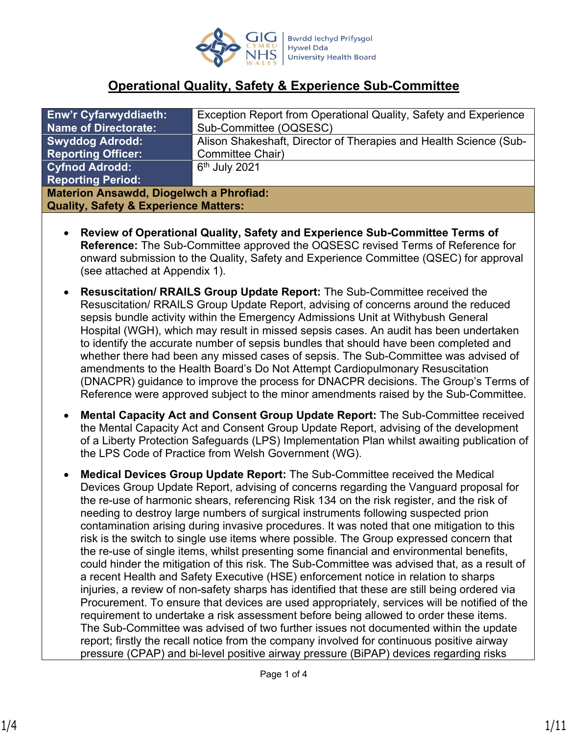

# **Operational Quality, Safety & Experience Sub-Committee**

| <b>Enw'r Cyfarwyddiaeth:</b>                     | Exception Report from Operational Quality, Safety and Experience  |  |  |  |
|--------------------------------------------------|-------------------------------------------------------------------|--|--|--|
| <b>Name of Directorate:</b>                      | Sub-Committee (OQSESC)                                            |  |  |  |
| <b>Swyddog Adrodd:</b>                           | Alison Shakeshaft, Director of Therapies and Health Science (Sub- |  |  |  |
| <b>Reporting Officer:</b>                        | Committee Chair)                                                  |  |  |  |
| <b>Cyfnod Adrodd:</b>                            | $6th$ July 2021                                                   |  |  |  |
| <b>Reporting Period:</b>                         |                                                                   |  |  |  |
| <b>Materion Ansawdd, Diogelwch a Phrofiad:</b>   |                                                                   |  |  |  |
| <b>Quality, Safety &amp; Experience Matters:</b> |                                                                   |  |  |  |

- **Review of Operational Quality, Safety and Experience Sub-Committee Terms of Reference:** The Sub-Committee approved the OQSESC revised Terms of Reference for onward submission to the Quality, Safety and Experience Committee (QSEC) for approval (see attached at Appendix 1).
- **Resuscitation/ RRAILS Group Update Report:** The Sub-Committee received the Resuscitation/ RRAILS Group Update Report, advising of concerns around the reduced sepsis bundle activity within the Emergency Admissions Unit at Withybush General Hospital (WGH), which may result in missed sepsis cases. An audit has been undertaken to identify the accurate number of sepsis bundles that should have been completed and whether there had been any missed cases of sepsis. The Sub-Committee was advised of amendments to the Health Board's Do Not Attempt Cardiopulmonary Resuscitation (DNACPR) guidance to improve the process for DNACPR decisions. The Group's Terms of Reference were approved subject to the minor amendments raised by the Sub-Committee.
- **Mental Capacity Act and Consent Group Update Report:** The Sub-Committee received the Mental Capacity Act and Consent Group Update Report, advising of the development of a Liberty Protection Safeguards (LPS) Implementation Plan whilst awaiting publication of the LPS Code of Practice from Welsh Government (WG).
- **Medical Devices Group Update Report:** The Sub-Committee received the Medical Devices Group Update Report, advising of concerns regarding the Vanguard proposal for the re-use of harmonic shears, referencing Risk 134 on the risk register, and the risk of needing to destroy large numbers of surgical instruments following suspected prion contamination arising during invasive procedures. It was noted that one mitigation to this risk is the switch to single use items where possible. The Group expressed concern that the re-use of single items, whilst presenting some financial and environmental benefits, could hinder the mitigation of this risk. The Sub-Committee was advised that, as a result of a recent Health and Safety Executive (HSE) enforcement notice in relation to sharps injuries, a review of non-safety sharps has identified that these are still being ordered via Procurement. To ensure that devices are used appropriately, services will be notified of the requirement to undertake a risk assessment before being allowed to order these items. The Sub-Committee was advised of two further issues not documented within the update report; firstly the recall notice from the company involved for continuous positive airway pressure (CPAP) and bi-level positive airway pressure (BiPAP) devices regarding risks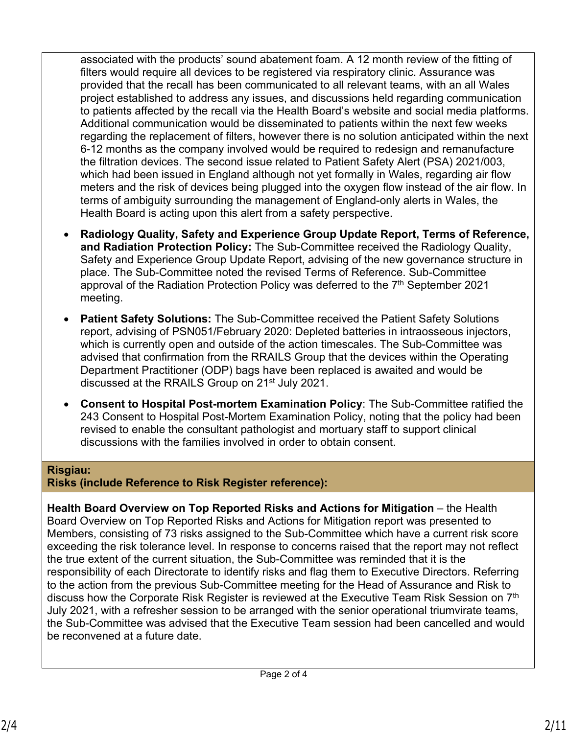associated with the products' sound abatement foam. A 12 month review of the fitting of filters would require all devices to be registered via respiratory clinic. Assurance was provided that the recall has been communicated to all relevant teams, with an all Wales project established to address any issues, and discussions held regarding communication to patients affected by the recall via the Health Board's website and social media platforms. Additional communication would be disseminated to patients within the next few weeks regarding the replacement of filters, however there is no solution anticipated within the next 6-12 months as the company involved would be required to redesign and remanufacture the filtration devices. The second issue related to Patient Safety Alert (PSA) 2021/003, which had been issued in England although not yet formally in Wales, regarding air flow meters and the risk of devices being plugged into the oxygen flow instead of the air flow. In terms of ambiguity surrounding the management of England-only alerts in Wales, the Health Board is acting upon this alert from a safety perspective.

- **Radiology Quality, Safety and Experience Group Update Report, Terms of Reference, and Radiation Protection Policy:** The Sub-Committee received the Radiology Quality, Safety and Experience Group Update Report, advising of the new governance structure in place. The Sub-Committee noted the revised Terms of Reference. Sub-Committee approval of the Radiation Protection Policy was deferred to the  $7<sup>th</sup>$  September 2021 meeting.
- **Patient Safety Solutions:** The Sub-Committee received the Patient Safety Solutions report, advising of PSN051/February 2020: Depleted batteries in intraosseous injectors, which is currently open and outside of the action timescales. The Sub-Committee was advised that confirmation from the RRAILS Group that the devices within the Operating Department Practitioner (ODP) bags have been replaced is awaited and would be discussed at the RRAILS Group on 21<sup>st</sup> July 2021.
- **Consent to Hospital Post-mortem Examination Policy**: The Sub-Committee ratified the 243 Consent to Hospital Post-Mortem Examination Policy, noting that the policy had been revised to enable the consultant pathologist and mortuary staff to support clinical discussions with the families involved in order to obtain consent.

## **Risgiau:**

**Risks (include Reference to Risk Register reference):**

**Health Board Overview on Top Reported Risks and Actions for Mitigation** – the Health Board Overview on Top Reported Risks and Actions for Mitigation report was presented to Members, consisting of 73 risks assigned to the Sub-Committee which have a current risk score exceeding the risk tolerance level. In response to concerns raised that the report may not reflect the true extent of the current situation, the Sub-Committee was reminded that it is the responsibility of each Directorate to identify risks and flag them to Executive Directors. Referring to the action from the previous Sub-Committee meeting for the Head of Assurance and Risk to discuss how the Corporate Risk Register is reviewed at the Executive Team Risk Session on 7<sup>th</sup> July 2021, with a refresher session to be arranged with the senior operational triumvirate teams, the Sub-Committee was advised that the Executive Team session had been cancelled and would be reconvened at a future date.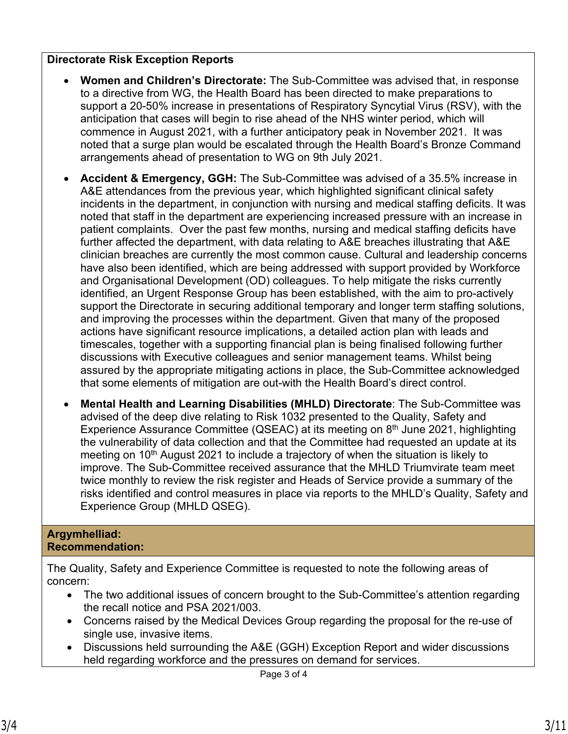## **Directorate Risk Exception Reports**

- **Women and Children's Directorate:** The Sub-Committee was advised that, in response to a directive from WG, the Health Board has been directed to make preparations to support a 20-50% increase in presentations of Respiratory Syncytial Virus (RSV), with the anticipation that cases will begin to rise ahead of the NHS winter period, which will commence in August 2021, with a further anticipatory peak in November 2021. It was noted that a surge plan would be escalated through the Health Board's Bronze Command arrangements ahead of presentation to WG on 9th July 2021.
- **Accident & Emergency, GGH:** The Sub-Committee was advised of a 35.5% increase in A&E attendances from the previous year, which highlighted significant clinical safety incidents in the department, in conjunction with nursing and medical staffing deficits. It was noted that staff in the department are experiencing increased pressure with an increase in patient complaints. Over the past few months, nursing and medical staffing deficits have further affected the department, with data relating to A&E breaches illustrating that A&E clinician breaches are currently the most common cause. Cultural and leadership concerns have also been identified, which are being addressed with support provided by Workforce and Organisational Development (OD) colleagues. To help mitigate the risks currently identified, an Urgent Response Group has been established, with the aim to pro-actively support the Directorate in securing additional temporary and longer term staffing solutions, and improving the processes within the department. Given that many of the proposed actions have significant resource implications, a detailed action plan with leads and timescales, together with a supporting financial plan is being finalised following further discussions with Executive colleagues and senior management teams. Whilst being assured by the appropriate mitigating actions in place, the Sub-Committee acknowledged that some elements of mitigation are out-with the Health Board's direct control.
- **Mental Health and Learning Disabilities (MHLD) Directorate**: The Sub-Committee was advised of the deep dive relating to Risk 1032 presented to the Quality, Safety and Experience Assurance Committee (QSEAC) at its meeting on  $8<sup>th</sup>$  June 2021, highlighting the vulnerability of data collection and that the Committee had requested an update at its meeting on  $10<sup>th</sup>$  August 2021 to include a trajectory of when the situation is likely to improve. The Sub-Committee received assurance that the MHLD Triumvirate team meet twice monthly to review the risk register and Heads of Service provide a summary of the risks identified and control measures in place via reports to the MHLD's Quality, Safety and Experience Group (MHLD QSEG).

### **Argymhelliad: Recommendation:**

The Quality, Safety and Experience Committee is requested to note the following areas of concern:

- The two additional issues of concern brought to the Sub-Committee's attention regarding the recall notice and PSA 2021/003.
- Concerns raised by the Medical Devices Group regarding the proposal for the re-use of single use, invasive items.
- Discussions held surrounding the A&E (GGH) Exception Report and wider discussions held regarding workforce and the pressures on demand for services.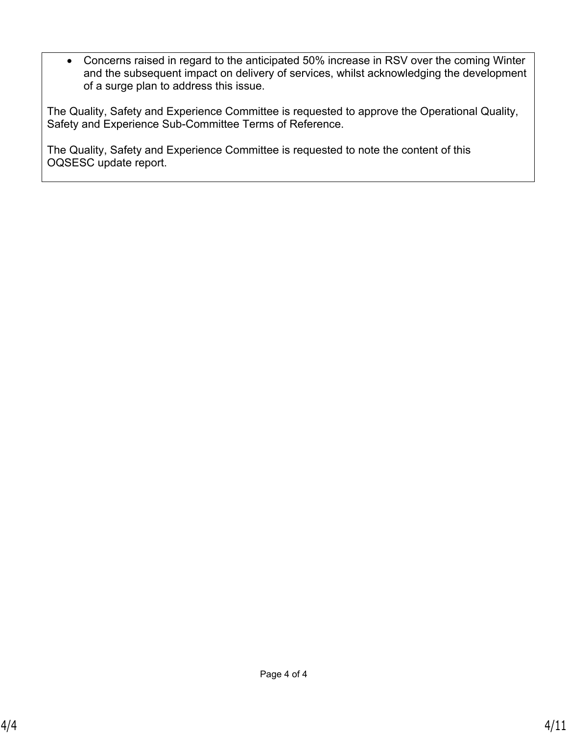Concerns raised in regard to the anticipated 50% increase in RSV over the coming Winter and the subsequent impact on delivery of services, whilst acknowledging the development of a surge plan to address this issue.

The Quality, Safety and Experience Committee is requested to approve the Operational Quality, Safety and Experience Sub-Committee Terms of Reference.

The Quality, Safety and Experience Committee is requested to note the content of this OQSESC update report.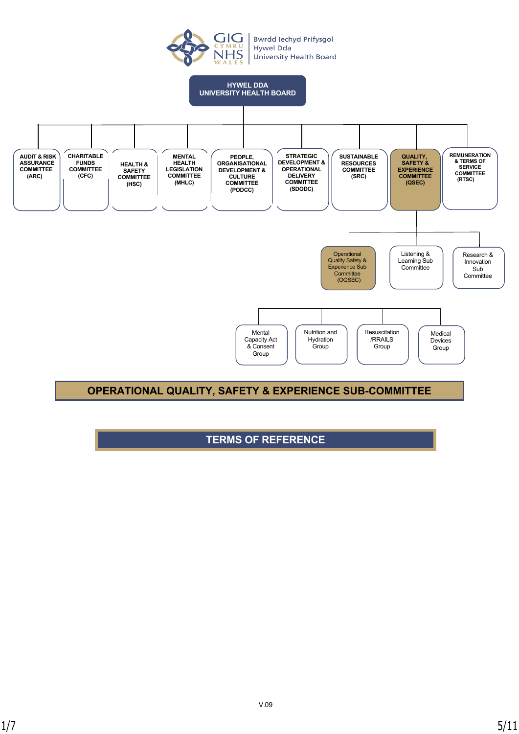

**Bwrdd lechyd Prifysgol Hywel Dda University Health Board** 



## **OPERATIONAL QUALITY, SAFETY & EXPERIENCE SUB-COMMITTEE**

## **TERMS OF REFERENCE**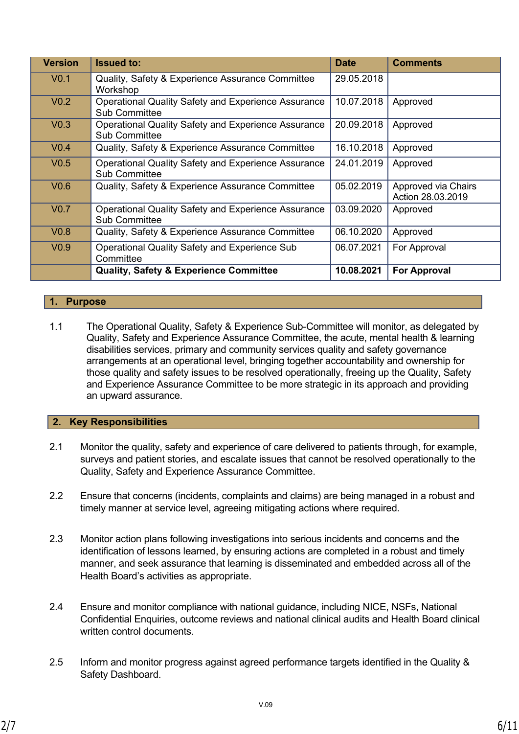| <b>Version</b>   | <b>Issued to:</b>                                                                  | <b>Date</b> | <b>Comments</b>                          |
|------------------|------------------------------------------------------------------------------------|-------------|------------------------------------------|
| V <sub>0.1</sub> | Quality, Safety & Experience Assurance Committee<br>Workshop                       | 29.05.2018  |                                          |
| V <sub>0.2</sub> | <b>Operational Quality Safety and Experience Assurance</b><br><b>Sub Committee</b> | 10.07.2018  | Approved                                 |
| V <sub>0.3</sub> | <b>Operational Quality Safety and Experience Assurance</b><br><b>Sub Committee</b> | 20.09.2018  | Approved                                 |
| V <sub>0.4</sub> | Quality, Safety & Experience Assurance Committee                                   | 16.10.2018  | Approved                                 |
| V <sub>0.5</sub> | <b>Operational Quality Safety and Experience Assurance</b><br><b>Sub Committee</b> | 24.01.2019  | Approved                                 |
| V <sub>0.6</sub> | Quality, Safety & Experience Assurance Committee                                   | 05.02.2019  | Approved via Chairs<br>Action 28.03.2019 |
| V <sub>0.7</sub> | <b>Operational Quality Safety and Experience Assurance</b><br><b>Sub Committee</b> | 03.09.2020  | Approved                                 |
| V <sub>0.8</sub> | Quality, Safety & Experience Assurance Committee                                   | 06.10.2020  | Approved                                 |
| V <sub>0.9</sub> | <b>Operational Quality Safety and Experience Sub</b><br>Committee                  | 06.07.2021  | For Approval                             |
|                  | <b>Quality, Safety &amp; Experience Committee</b>                                  | 10.08.2021  | <b>For Approval</b>                      |

### **1. Purpose**

1.1 The Operational Quality, Safety & Experience Sub-Committee will monitor, as delegated by Quality, Safety and Experience Assurance Committee, the acute, mental health & learning disabilities services, primary and community services quality and safety governance arrangements at an operational level, bringing together accountability and ownership for those quality and safety issues to be resolved operationally, freeing up the Quality, Safety and Experience Assurance Committee to be more strategic in its approach and providing an upward assurance.

#### **2. Key Responsibilities**

- 2.1 Monitor the quality, safety and experience of care delivered to patients through, for example, surveys and patient stories, and escalate issues that cannot be resolved operationally to the Quality, Safety and Experience Assurance Committee.
- 2.2 Ensure that concerns (incidents, complaints and claims) are being managed in a robust and timely manner at service level, agreeing mitigating actions where required.
- 2.3 Monitor action plans following investigations into serious incidents and concerns and the identification of lessons learned, by ensuring actions are completed in a robust and timely manner, and seek assurance that learning is disseminated and embedded across all of the Health Board's activities as appropriate.
- 2.4 Ensure and monitor compliance with national guidance, including NICE, NSFs, National Confidential Enquiries, outcome reviews and national clinical audits and Health Board clinical written control documents.
- 2.5 Inform and monitor progress against agreed performance targets identified in the Quality & Safety Dashboard.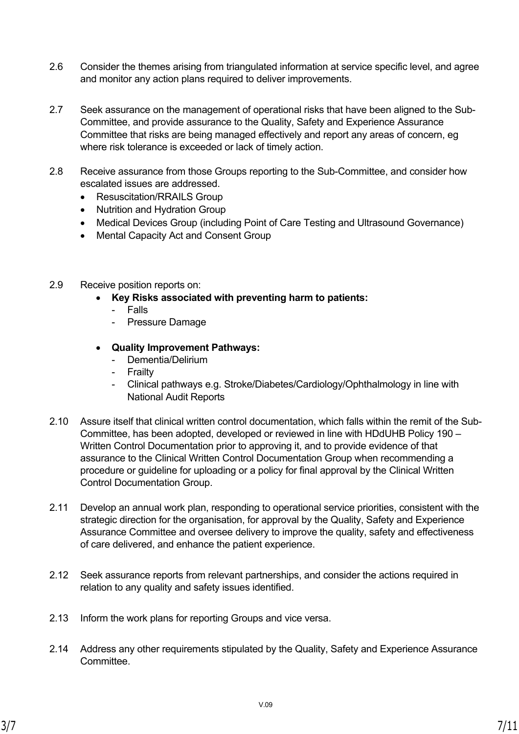- 2.6 Consider the themes arising from triangulated information at service specific level, and agree and monitor any action plans required to deliver improvements.
- 2.7 Seek assurance on the management of operational risks that have been aligned to the Sub-Committee, and provide assurance to the Quality, Safety and Experience Assurance Committee that risks are being managed effectively and report any areas of concern, eg where risk tolerance is exceeded or lack of timely action.
- 2.8 Receive assurance from those Groups reporting to the Sub-Committee, and consider how escalated issues are addressed.
	- Resuscitation/RRAILS Group
	- Nutrition and Hydration Group
	- Medical Devices Group (including Point of Care Testing and Ultrasound Governance)
	- Mental Capacity Act and Consent Group
- 2.9 Receive position reports on:
	- **Key Risks associated with preventing harm to patients:**
		- Falls
		- Pressure Damage
	- **Quality Improvement Pathways:**
		- Dementia/Delirium
		- Frailty
		- Clinical pathways e.g. Stroke/Diabetes/Cardiology/Ophthalmology in line with National Audit Reports
- 2.10 Assure itself that clinical written control documentation, which falls within the remit of the Sub-Committee, has been adopted, developed or reviewed in line with HDdUHB Policy 190 – Written Control Documentation prior to approving it, and to provide evidence of that assurance to the Clinical Written Control Documentation Group when recommending a procedure or guideline for uploading or a policy for final approval by the Clinical Written Control Documentation Group.
- 2.11 Develop an annual work plan, responding to operational service priorities, consistent with the strategic direction for the organisation, for approval by the Quality, Safety and Experience Assurance Committee and oversee delivery to improve the quality, safety and effectiveness of care delivered, and enhance the patient experience.
- 2.12 Seek assurance reports from relevant partnerships, and consider the actions required in relation to any quality and safety issues identified.
- 2.13 Inform the work plans for reporting Groups and vice versa.
- 2.14 Address any other requirements stipulated by the Quality, Safety and Experience Assurance **Committee.**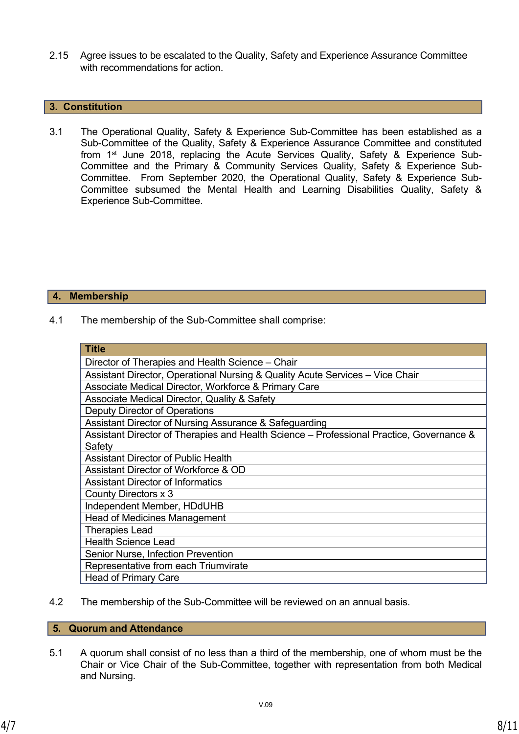2.15 Agree issues to be escalated to the Quality, Safety and Experience Assurance Committee with recommendations for action.

#### **3. Constitution**

3.1 The Operational Quality, Safety & Experience Sub-Committee has been established as a Sub-Committee of the Quality, Safety & Experience Assurance Committee and constituted from 1st June 2018, replacing the Acute Services Quality, Safety & Experience Sub-Committee and the Primary & Community Services Quality, Safety & Experience Sub-Committee. From September 2020, the Operational Quality, Safety & Experience Sub-Committee subsumed the Mental Health and Learning Disabilities Quality, Safety & Experience Sub-Committee.

#### **4. Membership**

4.1 The membership of the Sub-Committee shall comprise:

| <b>Title</b>                                                                             |  |  |  |
|------------------------------------------------------------------------------------------|--|--|--|
| Director of Therapies and Health Science - Chair                                         |  |  |  |
| Assistant Director, Operational Nursing & Quality Acute Services - Vice Chair            |  |  |  |
| Associate Medical Director, Workforce & Primary Care                                     |  |  |  |
| Associate Medical Director, Quality & Safety                                             |  |  |  |
| Deputy Director of Operations                                                            |  |  |  |
| Assistant Director of Nursing Assurance & Safeguarding                                   |  |  |  |
| Assistant Director of Therapies and Health Science - Professional Practice, Governance & |  |  |  |
| Safety                                                                                   |  |  |  |
| <b>Assistant Director of Public Health</b>                                               |  |  |  |
| Assistant Director of Workforce & OD                                                     |  |  |  |
| <b>Assistant Director of Informatics</b>                                                 |  |  |  |
| County Directors x 3                                                                     |  |  |  |
| Independent Member, HDdUHB                                                               |  |  |  |
| <b>Head of Medicines Management</b>                                                      |  |  |  |
| <b>Therapies Lead</b>                                                                    |  |  |  |
| <b>Health Science Lead</b>                                                               |  |  |  |
| Senior Nurse, Infection Prevention                                                       |  |  |  |
| Representative from each Triumvirate                                                     |  |  |  |
| <b>Head of Primary Care</b>                                                              |  |  |  |

4.2 The membership of the Sub-Committee will be reviewed on an annual basis.

#### **5. Quorum and Attendance**

5.1 A quorum shall consist of no less than a third of the membership, one of whom must be the Chair or Vice Chair of the Sub-Committee, together with representation from both Medical and Nursing.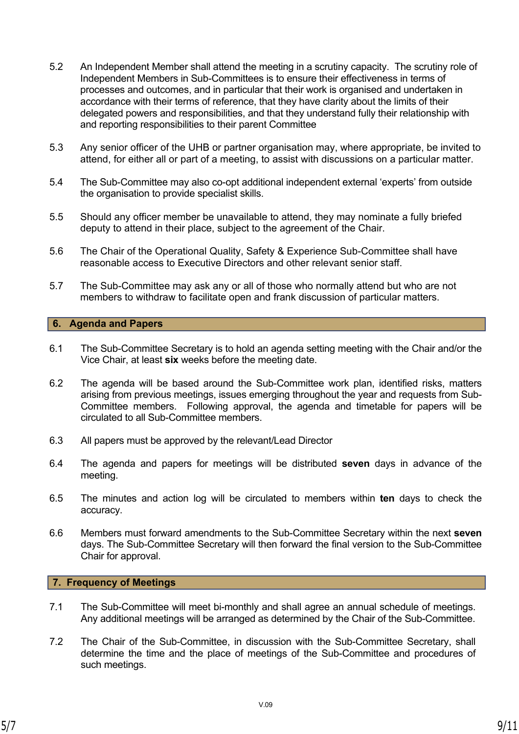- 5.2 An Independent Member shall attend the meeting in a scrutiny capacity. The scrutiny role of Independent Members in Sub-Committees is to ensure their effectiveness in terms of processes and outcomes, and in particular that their work is organised and undertaken in accordance with their terms of reference, that they have clarity about the limits of their delegated powers and responsibilities, and that they understand fully their relationship with and reporting responsibilities to their parent Committee
- 5.3 Any senior officer of the UHB or partner organisation may, where appropriate, be invited to attend, for either all or part of a meeting, to assist with discussions on a particular matter.
- 5.4 The Sub-Committee may also co-opt additional independent external 'experts' from outside the organisation to provide specialist skills.
- 5.5 Should any officer member be unavailable to attend, they may nominate a fully briefed deputy to attend in their place, subject to the agreement of the Chair.
- 5.6 The Chair of the Operational Quality, Safety & Experience Sub-Committee shall have reasonable access to Executive Directors and other relevant senior staff.
- 5.7 The Sub-Committee may ask any or all of those who normally attend but who are not members to withdraw to facilitate open and frank discussion of particular matters.

#### **6. Agenda and Papers**

- 6.1 The Sub-Committee Secretary is to hold an agenda setting meeting with the Chair and/or the Vice Chair, at least **six** weeks before the meeting date.
- 6.2 The agenda will be based around the Sub-Committee work plan, identified risks, matters arising from previous meetings, issues emerging throughout the year and requests from Sub-Committee members. Following approval, the agenda and timetable for papers will be circulated to all Sub-Committee members.
- 6.3 All papers must be approved by the relevant/Lead Director
- 6.4 The agenda and papers for meetings will be distributed **seven** days in advance of the meeting.
- 6.5 The minutes and action log will be circulated to members within **ten** days to check the accuracy.
- 6.6 Members must forward amendments to the Sub-Committee Secretary within the next **seven** days. The Sub-Committee Secretary will then forward the final version to the Sub-Committee Chair for approval.

#### **7. Frequency of Meetings**

- 7.1 The Sub-Committee will meet bi-monthly and shall agree an annual schedule of meetings. Any additional meetings will be arranged as determined by the Chair of the Sub-Committee.
- 7.2 The Chair of the Sub-Committee, in discussion with the Sub-Committee Secretary, shall determine the time and the place of meetings of the Sub-Committee and procedures of such meetings.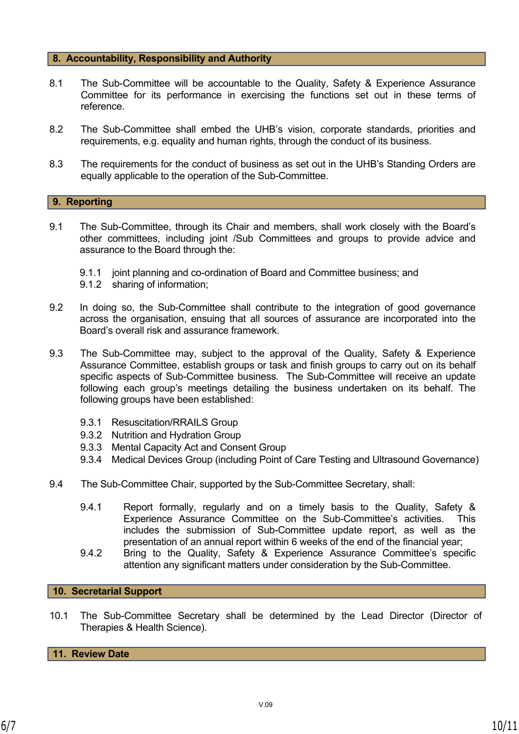#### **8. Accountability, Responsibility and Authority**

- 8.1 The Sub-Committee will be accountable to the Quality, Safety & Experience Assurance Committee for its performance in exercising the functions set out in these terms of reference.
- 8.2 The Sub-Committee shall embed the UHB's vision, corporate standards, priorities and requirements, e.g. equality and human rights, through the conduct of its business.
- 8.3 The requirements for the conduct of business as set out in the UHB's Standing Orders are equally applicable to the operation of the Sub-Committee.

#### **9. Reporting**

- 9.1 The Sub-Committee, through its Chair and members, shall work closely with the Board's other committees, including joint /Sub Committees and groups to provide advice and assurance to the Board through the:
	- 9.1.1 joint planning and co-ordination of Board and Committee business; and
	- 9.1.2 sharing of information;
- 9.2 In doing so, the Sub-Committee shall contribute to the integration of good governance across the organisation, ensuing that all sources of assurance are incorporated into the Board's overall risk and assurance framework.
- 9.3 The Sub-Committee may, subject to the approval of the Quality, Safety & Experience Assurance Committee, establish groups or task and finish groups to carry out on its behalf specific aspects of Sub-Committee business. The Sub-Committee will receive an update following each group's meetings detailing the business undertaken on its behalf. The following groups have been established:
	- 9.3.1 Resuscitation/RRAILS Group
	- 9.3.2 Nutrition and Hydration Group
	- 9.3.3 Mental Capacity Act and Consent Group
	- 9.3.4 Medical Devices Group (including Point of Care Testing and Ultrasound Governance)
- 9.4 The Sub-Committee Chair, supported by the Sub-Committee Secretary, shall:
	- 9.4.1 Report formally, regularly and on a timely basis to the Quality, Safety & Experience Assurance Committee on the Sub-Committee's activities. This includes the submission of Sub-Committee update report, as well as the presentation of an annual report within 6 weeks of the end of the financial year;
	- 9.4.2 Bring to the Quality, Safety & Experience Assurance Committee's specific attention any significant matters under consideration by the Sub-Committee.

**10. Secretarial Support**

10.1 The Sub-Committee Secretary shall be determined by the Lead Director (Director of Therapies & Health Science).

**11. Review Date**